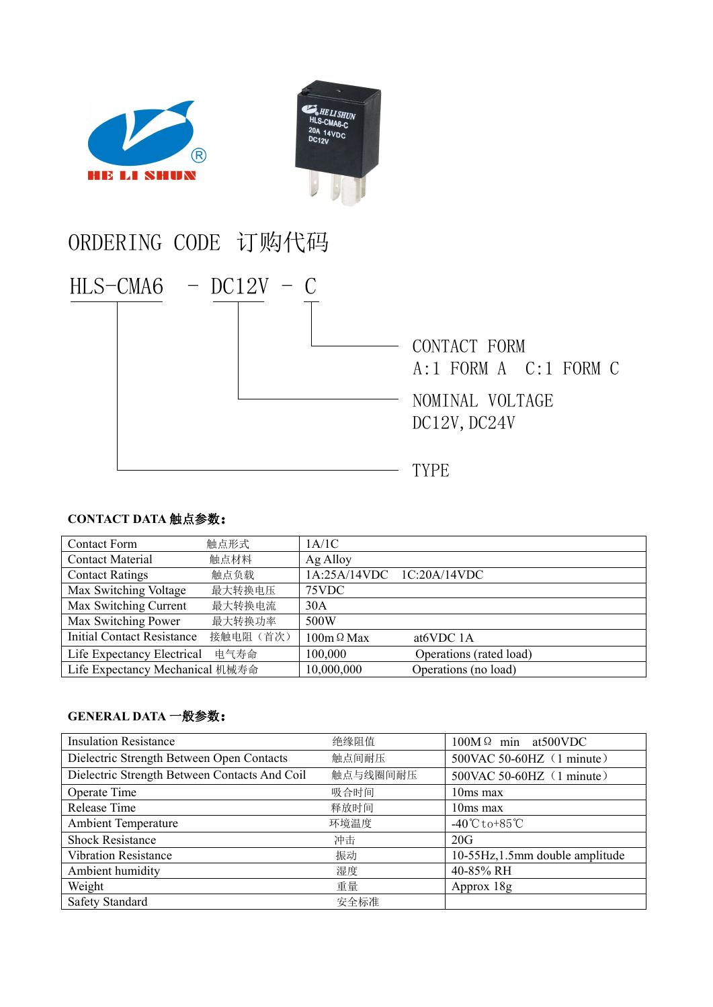

## ORDERING CODE 订购代码



## **CONTACT DATA** 触点参数:

| <b>Contact Form</b>               | 触点形式      | 1A/1C                     |                         |  |
|-----------------------------------|-----------|---------------------------|-------------------------|--|
| <b>Contact Material</b>           | 触点材料      | Ag Alloy                  |                         |  |
| <b>Contact Ratings</b>            | 触点负载      | 1A:25A/14VDC 1C:20A/14VDC |                         |  |
| Max Switching Voltage             | 最大转换电压    | 75VDC                     |                         |  |
| Max Switching Current             | 最大转换电流    | 30A                       |                         |  |
| Max Switching Power               | 最大转换功率    | 500W                      |                         |  |
| <b>Initial Contact Resistance</b> | 接触电阻 (首次) | $100m \Omega$ Max         | at <sub>6</sub> VDC 1A  |  |
| Life Expectancy Electrical        | 电气寿命      | 100,000                   | Operations (rated load) |  |
| Life Expectancy Mechanical 机械寿命   |           | 10,000,000                | Operations (no load)    |  |

## **GENERAL DATA** 一般参数:

| <b>Insulation Resistance</b>                  | 绝缘阻值     | $100M\Omega$ min at 500 VDC       |
|-----------------------------------------------|----------|-----------------------------------|
| Dielectric Strength Between Open Contacts     | 触点间耐压    | 500VAC 50-60HZ (1 minute)         |
| Dielectric Strength Between Contacts And Coil | 触点与线圈间耐压 | 500VAC 50-60HZ (1 minute)         |
| Operate Time                                  | 吸合时间     | 10ms max                          |
| Release Time                                  | 释放时间     | $10ms$ max                        |
| <b>Ambient Temperature</b>                    | 环境温度     | $-40^{\circ}$ Cto+85 $^{\circ}$ C |
| <b>Shock Resistance</b>                       | 冲击       | 20G                               |
| <b>Vibration Resistance</b>                   | 振动       | 10-55Hz, 1.5mm double amplitude   |
| Ambient humidity                              | 湿度       | 40-85% RH                         |
| Weight                                        | 重量       | Approx 18g                        |
| <b>Safety Standard</b>                        | 安全标准     |                                   |